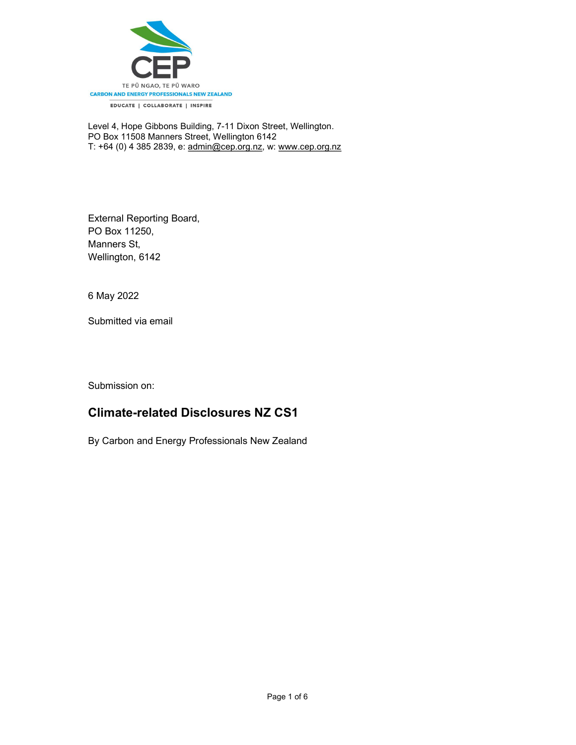

Level 4, Hope Gibbons Building, 7-11 Dixon Street, Wellington. PO Box 11508 Manners Street, Wellington 6142 T: +64 (0) 4 385 2839, e: admin@cep.org.nz, w: www.cep.org.nz

External Reporting Board, PO Box 11250, Manners St, Wellington, 6142

6 May 2022

Submitted via email

Submission on:

# Climate-related Disclosures NZ CS1

By Carbon and Energy Professionals New Zealand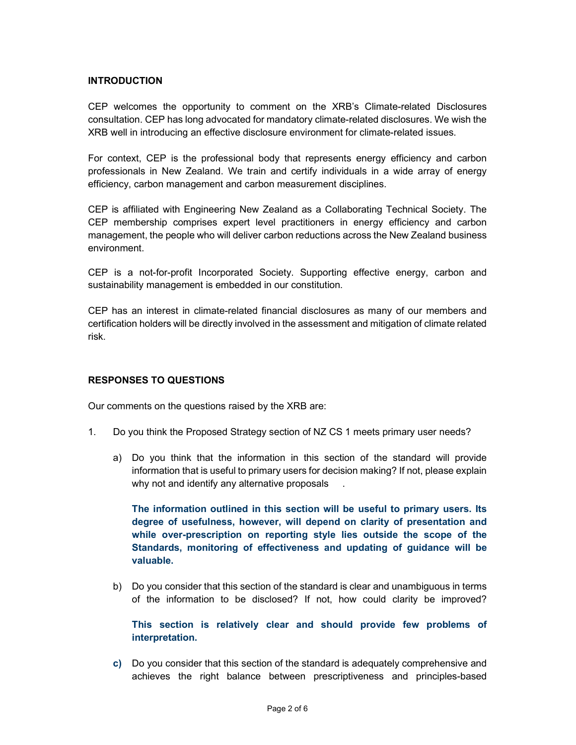## INTRODUCTION

CEP welcomes the opportunity to comment on the XRB's Climate-related Disclosures consultation. CEP has long advocated for mandatory climate-related disclosures. We wish the XRB well in introducing an effective disclosure environment for climate-related issues.

For context, CEP is the professional body that represents energy efficiency and carbon professionals in New Zealand. We train and certify individuals in a wide array of energy efficiency, carbon management and carbon measurement disciplines.

CEP is affiliated with Engineering New Zealand as a Collaborating Technical Society. The CEP membership comprises expert level practitioners in energy efficiency and carbon management, the people who will deliver carbon reductions across the New Zealand business environment.

CEP is a not-for-profit Incorporated Society. Supporting effective energy, carbon and sustainability management is embedded in our constitution.

CEP has an interest in climate-related financial disclosures as many of our members and certification holders will be directly involved in the assessment and mitigation of climate related risk.

#### RESPONSES TO QUESTIONS

Our comments on the questions raised by the XRB are:

- 1. Do you think the Proposed Strategy section of NZ CS 1 meets primary user needs?
	- a) Do you think that the information in this section of the standard will provide information that is useful to primary users for decision making? If not, please explain why not and identify any alternative proposals

The information outlined in this section will be useful to primary users. Its degree of usefulness, however, will depend on clarity of presentation and while over-prescription on reporting style lies outside the scope of the Standards, monitoring of effectiveness and updating of guidance will be valuable.

b) Do you consider that this section of the standard is clear and unambiguous in terms of the information to be disclosed? If not, how could clarity be improved?

This section is relatively clear and should provide few problems of interpretation.

c) Do you consider that this section of the standard is adequately comprehensive and achieves the right balance between prescriptiveness and principles-based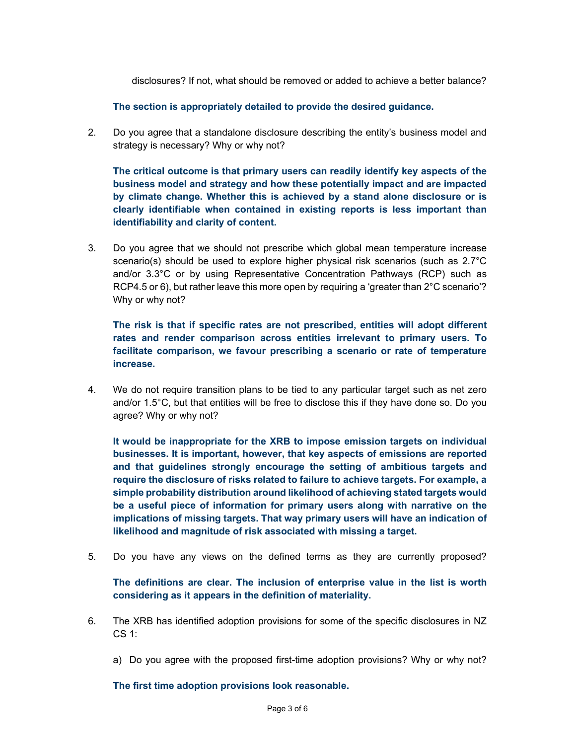disclosures? If not, what should be removed or added to achieve a better balance?

The section is appropriately detailed to provide the desired guidance.

2. Do you agree that a standalone disclosure describing the entity's business model and strategy is necessary? Why or why not?

The critical outcome is that primary users can readily identify key aspects of the business model and strategy and how these potentially impact and are impacted by climate change. Whether this is achieved by a stand alone disclosure or is clearly identifiable when contained in existing reports is less important than identifiability and clarity of content.

3. Do you agree that we should not prescribe which global mean temperature increase scenario(s) should be used to explore higher physical risk scenarios (such as  $2.7^{\circ}$ C and/or 3.3°C or by using Representative Concentration Pathways (RCP) such as RCP4.5 or 6), but rather leave this more open by requiring a 'greater than 2°C scenario'? Why or why not?

The risk is that if specific rates are not prescribed, entities will adopt different rates and render comparison across entities irrelevant to primary users. To facilitate comparison, we favour prescribing a scenario or rate of temperature increase.

4. We do not require transition plans to be tied to any particular target such as net zero and/or 1.5°C, but that entities will be free to disclose this if they have done so. Do you agree? Why or why not?

It would be inappropriate for the XRB to impose emission targets on individual businesses. It is important, however, that key aspects of emissions are reported and that guidelines strongly encourage the setting of ambitious targets and require the disclosure of risks related to failure to achieve targets. For example, a simple probability distribution around likelihood of achieving stated targets would be a useful piece of information for primary users along with narrative on the implications of missing targets. That way primary users will have an indication of likelihood and magnitude of risk associated with missing a target.

5. Do you have any views on the defined terms as they are currently proposed?

The definitions are clear. The inclusion of enterprise value in the list is worth considering as it appears in the definition of materiality.

- 6. The XRB has identified adoption provisions for some of the specific disclosures in NZ CS 1:
	- a) Do you agree with the proposed first-time adoption provisions? Why or why not?

The first time adoption provisions look reasonable.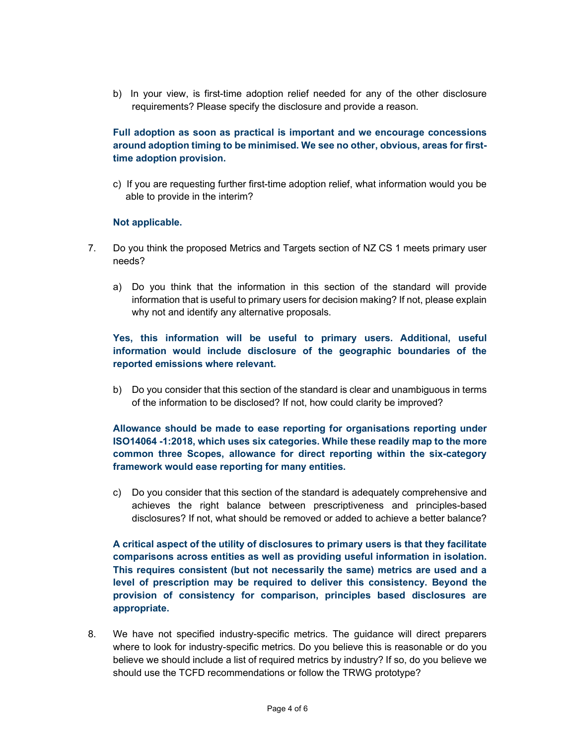b) In your view, is first-time adoption relief needed for any of the other disclosure requirements? Please specify the disclosure and provide a reason.

Full adoption as soon as practical is important and we encourage concessions around adoption timing to be minimised. We see no other, obvious, areas for firsttime adoption provision.

c) If you are requesting further first-time adoption relief, what information would you be able to provide in the interim?

### Not applicable.

- 7. Do you think the proposed Metrics and Targets section of NZ CS 1 meets primary user needs?
	- a) Do you think that the information in this section of the standard will provide information that is useful to primary users for decision making? If not, please explain why not and identify any alternative proposals.

# Yes, this information will be useful to primary users. Additional, useful information would include disclosure of the geographic boundaries of the reported emissions where relevant.

b) Do you consider that this section of the standard is clear and unambiguous in terms of the information to be disclosed? If not, how could clarity be improved?

Allowance should be made to ease reporting for organisations reporting under ISO14064 -1:2018, which uses six categories. While these readily map to the more common three Scopes, allowance for direct reporting within the six-category framework would ease reporting for many entities.

c) Do you consider that this section of the standard is adequately comprehensive and achieves the right balance between prescriptiveness and principles-based disclosures? If not, what should be removed or added to achieve a better balance?

A critical aspect of the utility of disclosures to primary users is that they facilitate comparisons across entities as well as providing useful information in isolation. This requires consistent (but not necessarily the same) metrics are used and a level of prescription may be required to deliver this consistency. Beyond the provision of consistency for comparison, principles based disclosures are appropriate.

8. We have not specified industry-specific metrics. The guidance will direct preparers where to look for industry-specific metrics. Do you believe this is reasonable or do you believe we should include a list of required metrics by industry? If so, do you believe we should use the TCFD recommendations or follow the TRWG prototype?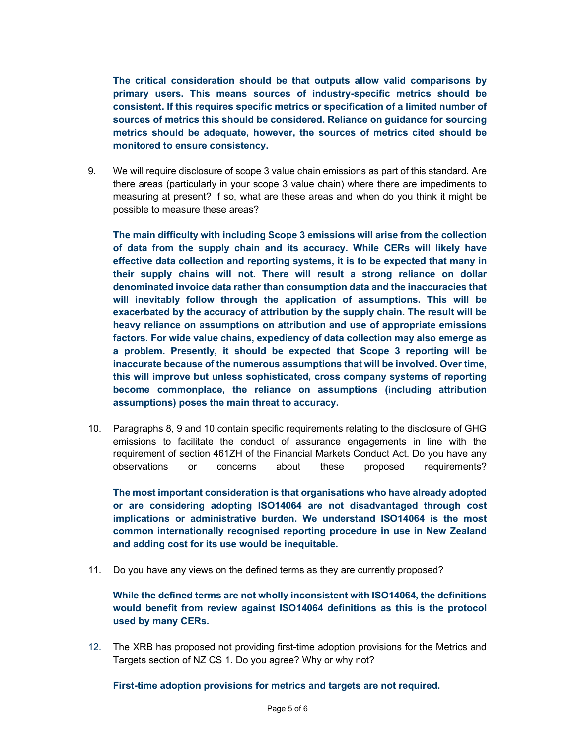The critical consideration should be that outputs allow valid comparisons by primary users. This means sources of industry-specific metrics should be consistent. If this requires specific metrics or specification of a limited number of sources of metrics this should be considered. Reliance on guidance for sourcing metrics should be adequate, however, the sources of metrics cited should be monitored to ensure consistency.

9. We will require disclosure of scope 3 value chain emissions as part of this standard. Are there areas (particularly in your scope 3 value chain) where there are impediments to measuring at present? If so, what are these areas and when do you think it might be possible to measure these areas?

The main difficulty with including Scope 3 emissions will arise from the collection of data from the supply chain and its accuracy. While CERs will likely have effective data collection and reporting systems, it is to be expected that many in their supply chains will not. There will result a strong reliance on dollar denominated invoice data rather than consumption data and the inaccuracies that will inevitably follow through the application of assumptions. This will be exacerbated by the accuracy of attribution by the supply chain. The result will be heavy reliance on assumptions on attribution and use of appropriate emissions factors. For wide value chains, expediency of data collection may also emerge as a problem. Presently, it should be expected that Scope 3 reporting will be inaccurate because of the numerous assumptions that will be involved. Over time, this will improve but unless sophisticated, cross company systems of reporting become commonplace, the reliance on assumptions (including attribution assumptions) poses the main threat to accuracy.

10. Paragraphs 8, 9 and 10 contain specific requirements relating to the disclosure of GHG emissions to facilitate the conduct of assurance engagements in line with the requirement of section 461ZH of the Financial Markets Conduct Act. Do you have any observations or concerns about these proposed requirements?

The most important consideration is that organisations who have already adopted or are considering adopting ISO14064 are not disadvantaged through cost implications or administrative burden. We understand ISO14064 is the most common internationally recognised reporting procedure in use in New Zealand and adding cost for its use would be inequitable.

11. Do you have any views on the defined terms as they are currently proposed?

While the defined terms are not wholly inconsistent with ISO14064, the definitions would benefit from review against ISO14064 definitions as this is the protocol used by many CERs.

12. The XRB has proposed not providing first-time adoption provisions for the Metrics and Targets section of NZ CS 1. Do you agree? Why or why not?

First-time adoption provisions for metrics and targets are not required.